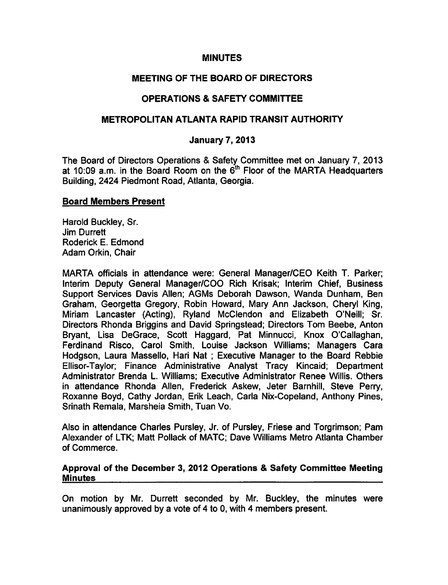#### **MINUTES**

## MEETING OF THE BOARD OF DIRECTORS

# OPERATIONS SAFETY COMMITTEE

### METROPOLITAN ATLANTA RAPID TRANSIT AUTHORITY

### January 7, 2013

The Board of Directors Operations & Safety Committee met on January 7, 2013 at 10:09 a.m. in the Board Room on the  $6<sup>th</sup>$  Floor of the MARTA Headquarters Building, 2424 Piedmont Road, Atlanta, Georgia.

#### Board Members Present

Harold Buckley, Sr. Jim Durrett Roderick E. Edmond Adam Orkin, Chair

MARTA officials in attendance were: General Manager/CEO Keith T. Parker; Interim Deputy General Manager/COO Rich Krisak; Interim Chief, Business Support Services Davis Allen; AGMs Deborah Dawson, Wanda Dunham, Ben Graham, Georgetta Gregory, Robin Howard, Mary Ann Jackson, Cheryl King, Miriam Lancaster (Acting), Ryland McClendon and Elizabeth O'Neill; Sr. Directors Rhonda Briggins and David Springstead; Directors Tom Beebe, Anton Bryant, Lisa DeGrace, Scott Haggard, Pat Minnucci, Knox O'Callaghan, Ferdinand Risco, Carol Smith, Louise Jackson Williams; Managers Cara Hodgson, Laura Massello, Hari Nat ; Executive Manager to the Board Rebbie Ellisor-Taylor; Finance Administrative Analyst Tracy Kincaid; Department Administrator Brenda L. Williams; Executive Administrator Renee Willis. Others in attendance Rhonda Allen, Frederick Askew, Jeter Barnhill, Steve Perry, Roxanne Boyd, Cathy Jordan, Erik Leach, Carla Nix-Copeland, Anthony Pines, Srinath Remala, Marsheia Smith, Tuan Vo.

Also in attendance Charles Pursley, Jr. of Pursley, Friese and Torgrimson; Pam Alexander of LTK; Matt Pollack of MATC; Dave Williams Metro Atlanta Chamber of Commerce.

#### Approval of the December 3, 2012 Operations & Safety Committee Meeting **Minutes**

On motion by Mr. Durrett seconded by Mr. Buckley, the minutes were unanimously approved by a vote of 4 to 0, with 4 members present.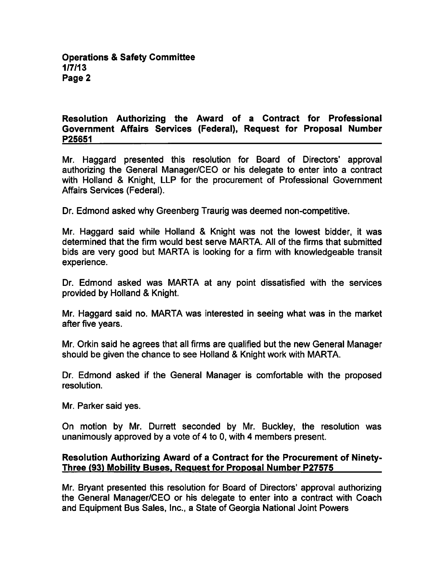### Resolution Authorizing the Award of a Contract for Professional Government Affairs Services (Federal), Request for Proposal Number P25651

Mr. Haggard presented this resolution for Board of Directors' approval authorizing the General Manager/CEO or his delegate to enter into a contract with Holland & Knight, LLP for the procurement of Professional Government Affairs Services (Federal).

Dr. Edmond asked why Greenberg Traurig was deemed non-competitive.

Mr. Haggard said while Holland & Knight was not the lowest bidder, it was determined that the firm would best serve MARTA. All of the firms that submitted bids are very good but MARTA is looking for a firm with knowledgeable transit experience.

Dr. Edmond asked was MARTA at any point dissatisfied with the services provided by Holland & Knight.

Mr. Haggard said no. MARTA was interested in seeing what was in the market after five years.

Mr. Orkin said he agrees that all firms are qualified but the new General Manager should be given the chance to see Holland & Knight work with MARTA.

Dr. Edmond asked if the General Manager is comfortable with the proposed resolution.

Mr. Parker said yes.

On motion by Mr. Durrett seconded by Mr. Buckley, the resolution was unanimously approved by a vote of 4 to 0, with 4 members present.

#### Resolution Authorizing Award of a Contract for the Procurement of Ninety-Three (93) Mobility Buses. Request for Proposal Number P27575

Mr. Bryant presented this resolution for Board of Directors' approval authorizing the General Manager/CEO or his delegate to enter into a contract with Coach and Equipment Bus Sales, Inc., a State of Georgia National Joint Powers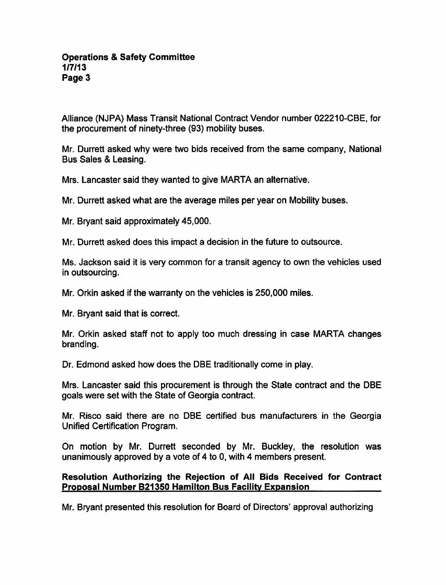Alliance (NJPA) Mass Transit National Contract Vendor number 022210-CBE, for the procurement of ninety-three (93) mobility buses.

Mr. Durrett asked why were two bids received from the same company, National Bus Sales & Leasing.

Mrs. Lancaster said they wanted to give MARTA an alternative.

Mr. Durrett asked what are the average miles per year on Mobility buses.

Mr. Bryant said approximately 45,000.

Mr. Durrett asked does this impact a decision in the future to outsource.

Ms. Jackson said it is very common for a transit agency to own the vehicles used in outsourcing.

Mr. Orkin asked if the warranty on the vehicles is 250,000 miles.

Mr. Bryant said that is correct.

Mr. Orkin asked staff not to apply too much dressing in case MARTA changes branding.

Dr. Edmond asked how does the DBE traditionally come in play.

Mrs. Lancaster said this procurement is through the State contract and the DBE goals were set with the State of Georgia contract.

Mr. Risco said there are no DBE certified bus manufacturers in the Georgia Unified Certification Program.

On motion by Mr. Durrett seconded by Mr. Buckley, the resolution was unanimously approved by a vote of  $4$  to 0, with  $4$  members present.

#### Resolution Authorizing the Rejection of Ail Bids Received for Contract Proposal Number B21350 Hamilton Bus Facility Expansion

Mr. Bryant presented this resolution for Board of Directors' approval authorizing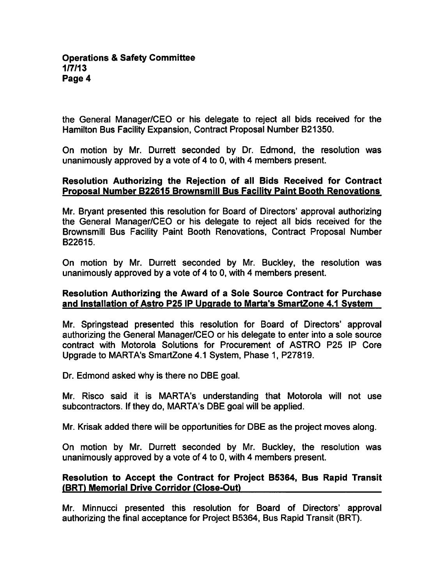the General Manager/CEO or his delegate to reject all bids received for the Hamilton Bus Facility Expansion, Contract Proposal Number B21350.

On motion by Mr. Durrett seconded by Dr. Edmond, the resolution was unanimously approved by a vote of 4 to 0, with 4 members present.

## Resolution Authorizing the Rejection of all Bids Received for Contract Proposal Number B22615 Brownsmill Bus Facility Paint Booth Renovations

Mr. Bryant presented this resolution for Board of Directors' approval authorizing the General Manager/CEO or his delegate to reject all bids received for the Brownsmill Bus Facility Paint Booth Renovations, Contract Proposal Number B22615.

On motion by Mr. Durrett seconded by Mr. Buckley, the resolution was unanimously approved by a vote of 4 to 0, with 4 members present.

### Resolution Authorizing the Award of a Sole Source Contract for Purchase and Installation of Astro P25 IP Upgrade to Marta's SmartZone 4.1 System

Mr. Springstead presented this resolution for Board of Directors' approval authorizing the General Manager/CEO or his delegate to enter into a sole source contract with Motorola Solutions for Procurement of ASTRO P25 IP Core Upgrade to MARTA's SmartZone 4.1 System, Phase 1, P27819.

Dr. Edmond asked why is there no DBE goal.

Mr. Risco said it is MARTA's understanding that Motorola will not use subcontractors. If they do, MARTA's DBE goal will be applied.

Mr. Krisak added there will be opportunities for DBE as the project moves along.

On motion by Mr. Durrett seconded by Mr. Buckley, the resolution was unanimously approved by a vote of 4 to 0, with 4 members present.

## Resolution to Accept the Contract for Project B5364, Bus Rapid Transit (BRT) Memorial Drive Corridor (Close-Out)

Mr. Minnucci presented this resolution for Board of Directors' approval authorizing the final acceptance for Project B5364, Bus Rapid Transit (BRT).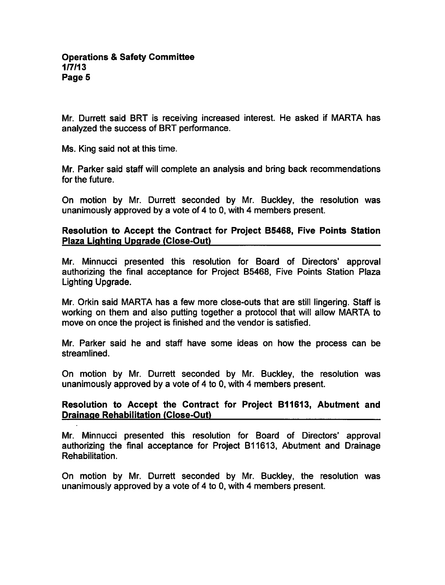Mr. Durrett said BRT is receiving increased interest. He asked if MARTA has analyzed the success of BRT performance.

Ms. King said not at this time.

Mr. Parker said staff will complete an analysis and bring back recommendations for the future.

On motion by Mr. Durrett seconded by Mr. Buckley, the resolution was unanimously approved by a vote of 4 to 0, with 4 members present.

Resolution to Accept the Contract for Project B5468, Five Points Station Plaza Lighting Upgrade (Close-Out)

Mr. Minnucci presented this resolution for Board of Directors' approval authorizing the final acceptance for Project B5468, Five Points Station Plaza Lighting Upgrade.

Mr. Orkin said MARTA has a few more close-outs that are still lingering. Staff is working on them and also putting together a protocol that will allow MARTA to move on once the project is finished and the vendor is satisfied.

Mr. Parker said he and staff have some ideas on how the process can be streamlined.

On motion by Mr. Durrett seconded by Mr. Buckley, the resolution was unanimously approved by a vote of 4 to 0, with 4 members present.

## Resolution to Accept the Contract for Project B11613, Abutment and Drainage Rehabilitation (Close-Out)

Mr. Minnucci presented this resolution for Board of Directors' approval authorizing the final acceptance for Project B11613, Abutment and Drainage Rehabilitation.

On motion by Mr. Durrett seconded by Mr. Buckley, the resolution was unanimously approved by a vote of 4 to 0, with 4 members present.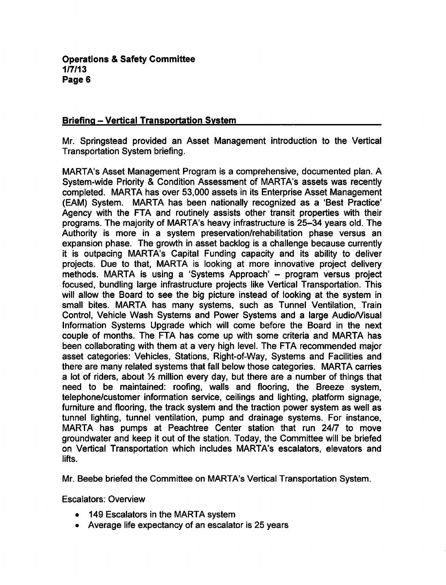### Briefing - Vertical Transportation System

Mr. Springstead provided an Asset Management introduction to the Vertical Transportation System briefing.

MARTA's Asset Management Program is a comprehensive, documented plan. System-wide Priority & Condition Assessment of MARTA's assets was recently completed. MARTA has over 53,000 assets in its Enterprise Asset Management (EAM) System. MARTA has been nationally recognized as 'Best Practice' Agency with the FTA and routinely assists other transit properties with their programs. The majority of MARTA's heavy infrastructure is 25-34 years old. The Authority is more in a system preservation/rehabilitation phase versus an expansion phase. The growth in asset backlog is a challenge because currently it is outpacing MARTA's Capital Funding capacity and its ability to deliver projects. Due to that, MARTA is looking at more innovative project delivery methods. MARTA is using a 'Systems Approach' – program versus project focused, bundling large infrastructure projects like Vertical Transportation. This will allow the Board to see the big picture instead of looking at the system in small bites. MARTA has many systems, such as Tunnel Ventilation, Train Control, Vehicle Wash Systems and Power Systems and a large Audio/Visual Information Systems Upgrade which will come before the Board in the next couple of months. The FTA has come up with some criteria and MARTA has been collaborating with them at a very high level. The FTA recommended major asset categories: Vehicles, Stations, Right-of-Way, Systems and Facilities and there are many related systems that fall below those categories. MARTA carries a lot of riders, about  $\frac{1}{2}$  million every day, but there are a number of things that need to be maintained: roofing, walls and flooring, the Breeze system, telephone/customer information service, ceilings and lighting, platform signage, furniture and flooring, the track system and the traction power system as well as tunnel lighting, tunnel ventilation, pump and drainage systems. For instance, MARTA has pumps at Peachtree Center station that run 24/7 to move groundwater and keep it out of the station. Today, the Committee will be briefed on Vertical Transportation which includes MARTA's escalators, elevators and lifts.

Mr. Beebe briefed the Committee on MARTA's Vertical Transportation System.

Escalators: Overview

- 149 Escalators in the MARTA system
- Average life expectancy of an escalator is 25 years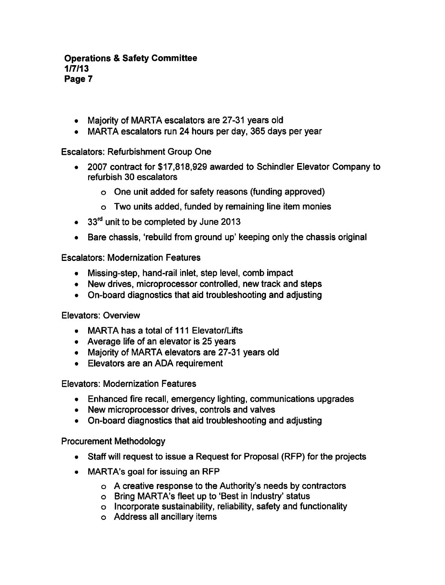- Majority of MARTA escalators are 27-31 years old
- MARTA escalators run 24 hours per day, 365 days per year

Escalators: Refurbishment Group One

- 2007 contract for \$17,818,929 awarded to Schindler Elevator Company to refurbish 30 escalators
	- One unit added for safety reasons (funding approved)
	- Two units added, funded by remaining line item monies
- 33<sup>rd</sup> unit to be completed by June 2013
- Bare chassis, 'rebuild from ground up' keeping only the chassis original

Escalators: Modernization Features

- Missing-step, hand-rail inlet, step level, comb impact
- New drives, microprocessor controlled, new track and steps
- On-board diagnostics that aid troubleshooting and adjusting

Elevators: Overview

- MARTA has a total of <sup>111</sup> Elevator/Lifts
- Average life of an elevator is 25 years
- Majority of MARTA elevators are 27-31 years old
- Elevators are an ADA requirement

Elevators: Modernization Features

- Enhanced fire recall, emergency lighting, communications upgrades
- New microprocessor drives, controls and valves
- On-board diagnostics that aid troubleshooting and adjusting

Procurement Methodology

- Staff will request to issue a Request for Proposal (RFP) for the projects
- MARTA's goal for issuing an RFP
	- o A creative response to the Authority's needs by contractors
	- Bring MARTA's fleet up to 'Best in Industry' status
	- Incorporate sustainability, reliability, safety and functionality
	- Address all ancillary items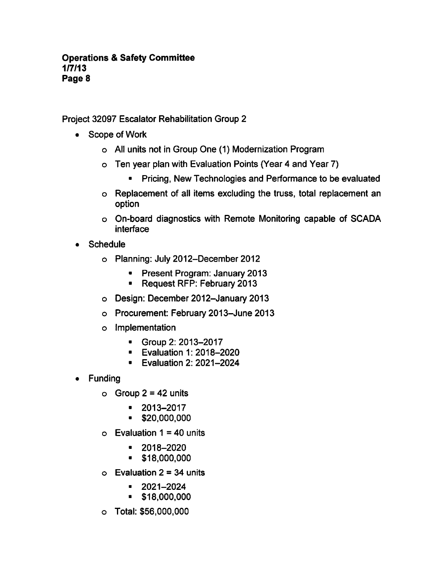Project 32097 Escalator Rehabilitation Group

- Scope of Work
	- All units not in Group One (1) Modernization Program
	- Ten year plan with Evaluation Points (Year 4 and Year 7)
		- **•** Pricing, New Technologies and Performance to be evaluated
	- Replacement of all items excluding the truss, total replacement an option
	- On-board diagnostics with Remote Monitoring capable of SCADA interface
- Schedule  $\bullet$ 
	- Planning: July 2012-December 2012
		- **Present Program: January 2013**
		- Request RFP: February 2013
	- Design: December 2012-January 2013
	- Procurement: February 2013-June 2013
	- Implementation
		- Group 2: 2013-2017
		- **Evaluation 1: 2018-2020**
		- **Evaluation 2: 2021-2024**
- Funding
	- $O$  Group 2 = 42 units
		- 2013-2017  $\blacksquare$
		- \$20,000,000
	- $\circ$  Evaluation 1 = 40 units
		- $\blacksquare$ 2018-2020
		- \$18,000,000  $\blacksquare$
	- $\circ$  Evaluation 2 = 34 units
		- 2021-2024  $\blacksquare$
		- \$18,000,000  $\blacksquare$
	- Total: \$56,000,000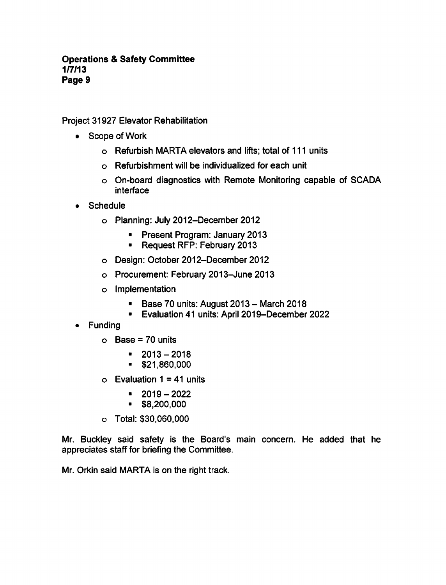Project 31927 Elevator Rehabilitation

- Scope of Work
	- Refurbish MARTA elevators and lifts; total of <sup>111</sup> units
	- Refurbishment will be individualized for each unit
	- On-board diagnostics with Remote Monitoring capable of SCADA interface
- Schedule
	- Planning: July 2012-December 2012
		- **Present Program: January 2013**
		- Request RFP: February 2013
	- Design: October 2012-December 2012
	- Procurement: February 2013-June 2013
	- Implementation
		- Base 70 units: August  $2013 -$  March 2018
		- Evaluation 41 units: April 2019-December 2022
- Funding  $\bullet$ 
	- $O$  Base = 70 units
		- $-2013-2018$
		- \$21,860,000
	- $\circ$  Evaluation 1 = 41 units
		- 2019-2022  $\blacksquare$
		- \$8,200,000
	- Total: \$30,060,000

Mr. Buckley said safety is the Board's main concern. He added that he appreciates staff for briefing the Committee.

Mr. Orkin said MARTA is on the right track.